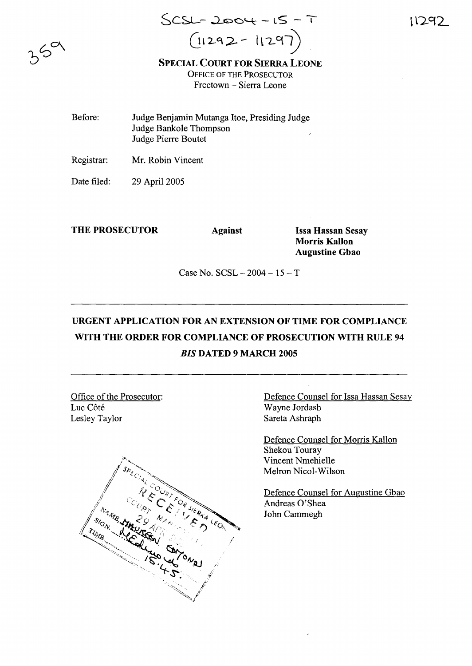$SCSL - 2004 - 15 - 7$  $(11292 - 11297)$ 

11292

SPECIAL COURT FOR SIERRA LEONE OFFICE OF THE PROSECUTOR Freetown - Sierra Leone

Before: Judge Benjamin Mutanga Itoe, Presiding Judge Judge Bankole Thompson Judge Pierre Boutet

Registrar: Mr. Robin Vincent

Date filed: 29 April 2005

THE PROSECUTOR Against Issa Hassan Sesay

Morris Kallon Augustine Gbao

Case No.  $SCSL - 2004 - 15 - T$ 

## URGENT APPLICATION FOR AN EXTENSION OF TIME FOR COMPLIANCE WITH THE ORDER FOR COMPLIANCE OF PROSECUTION WITH RULE 94 *BIS* DATED 9 MARCH 2005

Office of the Prosecutor: Luc Côté Lesley Taylor



Defence Counsel for Issa Hassan Sesay Wayne Jordash Sareta Ashraph

Defence Counsel for Morris Kallon Shekou Touray Vincent Nmehielle Melron Nicol-Wilson

Defence Counsel for Augustine Gbao Andreas 0'Shea John Cammegh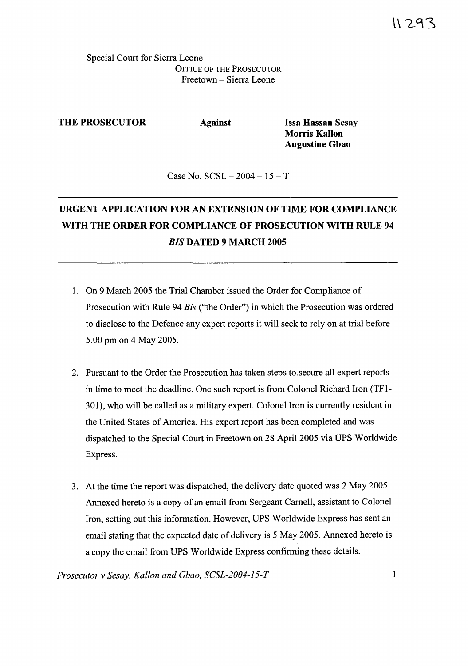Special Court for Sierra Leone OFFICE OF THE PROSECUTOR Freetown - Sierra Leone

THE PROSECUTOR Against Issa Hassan Sesay

Morris Kallon Augustine Gbao

Case No.  $SCSL - 2004 - 15 - T$ 

## URGENT APPLICATION FOR AN EXTENSION OF TIME FOR COMPLIANCE WITH THE ORDER FOR COMPLIANCE OF PROSECUTION WITH RULE 94 *BIS* DATED 9 MARCH 2005

- 1. On 9 March 2005 the Trial Chamber issued the Order for Compliance of Prosecution with Rule 94 *Bis* ("the Order") in which the Prosecution was ordered to disclose to the Defence any expert reports it will seek to rely on at trial before 5.00 pm on 4 May 2005.
- 2. Pursuant to the Order the Prosecution has taken steps to ,secure all expert reports in time to meet the deadline. One such report is from Colonel Richard Iron (TFI-301), who will be called as a military expert. Colonel Iron is currently resident in the United States of America. His expert report has been completed and was dispatched to the Special Court in Freetown on 28 April 2005 via UPS Worldwide Express.
- 3. At the time the report was dispatched, the delivery date quoted was 2 May 2005. Annexed hereto is a copy of an email from Sergeant Carnell, assistant to Colonel Iron, setting out this information. However, UPS Worldwide Express has sent an email stating that the expected date of delivery is 5 May 2005. Annexed hereto is a copy the email from UPS Worldwide Express confirming these details.

*Prosecutor v Sesay, Kallon and Gbao, SCSL-2004-15-T* 1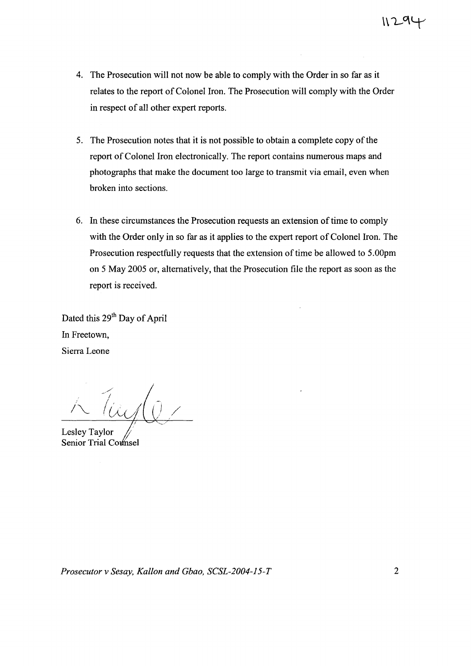- 4. The Prosecution will not now be able to comply with the Order in so far as it relates to the report of Colonel Iron. The Prosecution will comply with the Order in respect of all other expert reports.
- 5. The Prosecution notes that it is not possible to obtain a complete copy of the report of Colonel Iron electronically. The report contains numerous maps and photographs that make the document too large to transmit via email, even when broken into sections.
- 6. In these circumstances the Prosecution requests an extension of time to comply with the Order only in so far as it applies to the expert report of Colonel Iron. The Prosecution respectfully requests that the extension of time be allowed to 5.00pm on 5 May 2005 or, alternatively, that the Prosecution file the report as soon as the report is received.

Dated this 29<sup>th</sup> Day of April In Freetown, Sierra Leone

*1"'-* (as/0)

Lesley Taylor Senior Trial Counsel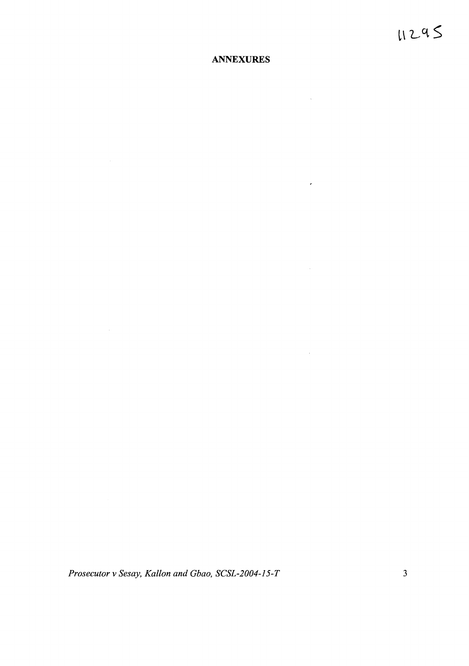## **ANNEXURES**

 $\sim 10^{11}$  km s  $^{-1}$ 

 $\mathcal{L}(\mathbf{r})$ 

 $\sim 10^{11}$  km  $^{-1}$ 

 $\mathcal{L}^{\text{max}}_{\text{max}}$  and  $\mathcal{L}^{\text{max}}_{\text{max}}$ 

*Prosecutor* v *Sesay, Kallon and Gbao, SCSL-2004-15-T* 3

 $\mathcal{L}^{\text{max}}_{\text{max}}$  and  $\mathcal{L}^{\text{max}}_{\text{max}}$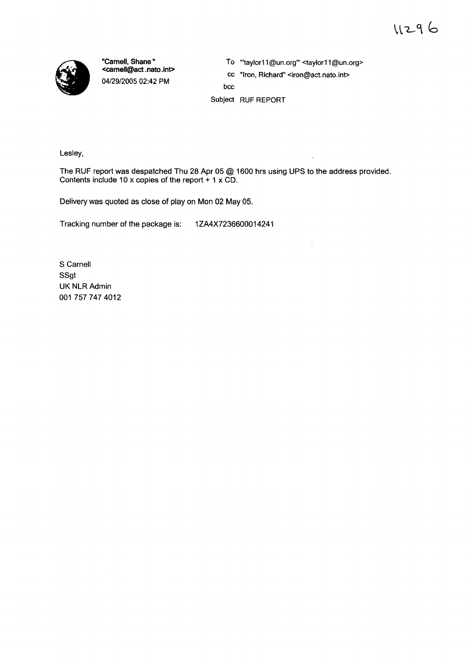

"Carnell, Shane" <carnell@act.nato.int> 04/29/2005 02:42 PM

To "taylor11@un.org" <taylor11@un.org>

cc "Iron, Richard" <iron@act.nato.int>

bcc

Subject RUF REPORT

Lesley,

The RUF report was despatched Thu 28 Apr 05 @ 1600 hrs using UPS to the address provided. Contents include 10 x copies of the report + 1 x CD.

Delivery was quoted as close of play on Mon 02 May 05.

Tracking number of the package is: 1ZA4X7236600014241

S Carnell SSgt UK NLR Admin 001 7577474012